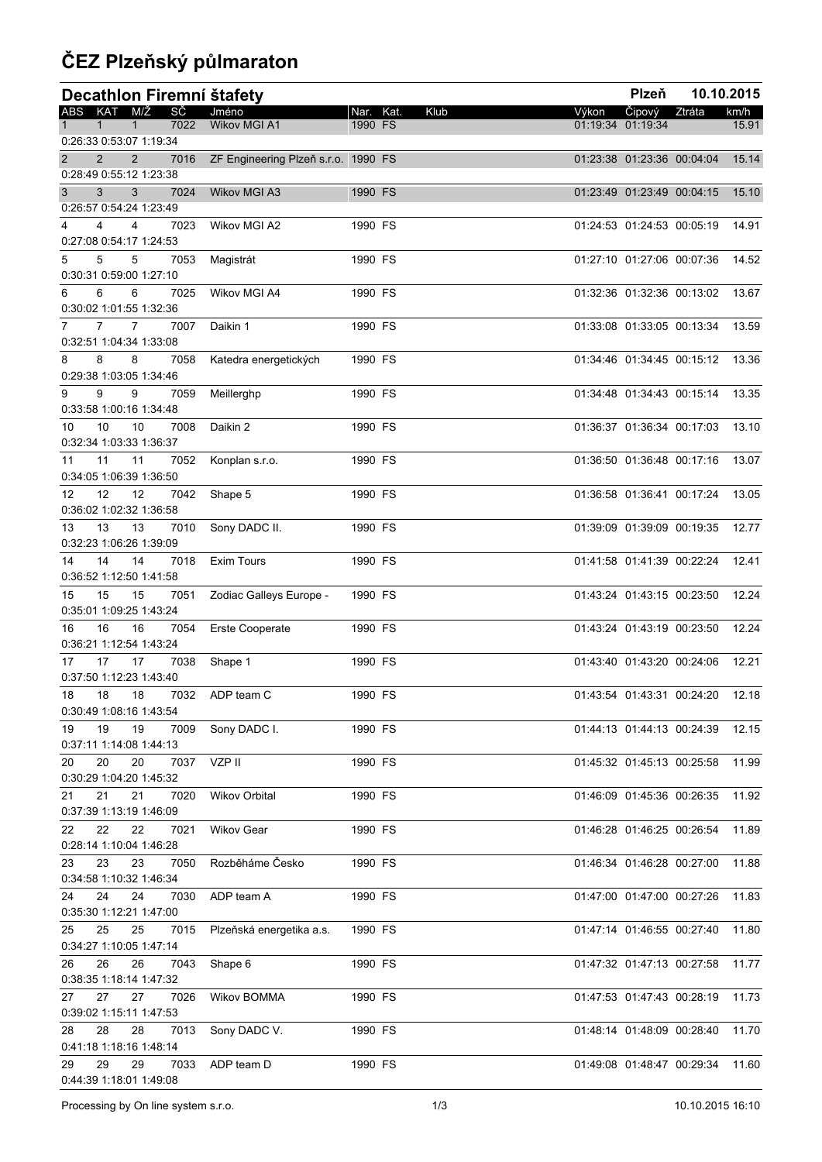## **ČEZ Plzeňský půlmaraton**

| Decathlon Firemní štafety                                                |                                     |                      |      |       | Plzeň                       |        | 10.10.2015 |
|--------------------------------------------------------------------------|-------------------------------------|----------------------|------|-------|-----------------------------|--------|------------|
| ABS KAT M/Ž<br>SČ<br>7022                                                | Jméno<br>Wikov MGI A1               | Nar. Kat.<br>1990 FS | Klub | Výkon | Čipový<br>01:19:34 01:19:34 | Ztráta | km/h       |
| 1<br>1<br>0:26:33 0:53:07 1:19:34                                        |                                     |                      |      |       |                             |        | 15.91      |
| 2<br>$\overline{2}$<br>7016                                              | ZF Engineering Plzeň s.r.o. 1990 FS |                      |      |       | 01:23:38 01:23:36 00:04:04  |        | 15.14      |
| 0:28:49 0:55:12 1:23:38                                                  |                                     |                      |      |       |                             |        |            |
| 3<br>3<br>7024                                                           | Wikov MGI A3                        | 1990 FS              |      |       | 01:23:49 01:23:49 00:04:15  |        | 15.10      |
| 0:26:57 0:54:24 1:23:49<br>7023<br>4<br>4                                | Wikov MGI A2                        | 1990 FS              |      |       | 01:24:53 01:24:53 00:05:19  |        | 14.91      |
| 0:27:08 0:54:17 1:24:53                                                  |                                     |                      |      |       |                             |        |            |
| 5<br>5<br>7053<br>5                                                      | Magistrát                           | 1990 FS              |      |       | 01:27:10 01:27:06 00:07:36  |        | 14.52      |
| 0:30:31 0:59:00 1:27:10                                                  |                                     |                      |      |       |                             |        |            |
| 6<br>6<br>7025<br>6                                                      | Wikov MGI A4                        | 1990 FS              |      |       | 01:32:36 01:32:36 00:13:02  |        | 13.67      |
| 0:30:02 1:01:55 1:32:36<br>$\overline{7}$<br>$\overline{7}$<br>7007<br>7 | Daikin 1                            | 1990 FS              |      |       | 01:33:08 01:33:05 00:13:34  |        | 13.59      |
| 0:32:51 1:04:34 1:33:08                                                  |                                     |                      |      |       |                             |        |            |
| 8<br>7058<br>8<br>8                                                      | Katedra energetických               | 1990 FS              |      |       | 01:34:46 01:34:45 00:15:12  |        | 13.36      |
| 0:29:38 1:03:05 1:34:46                                                  |                                     |                      |      |       |                             |        |            |
| 9<br>9<br>9<br>7059                                                      | Meillerghp                          | 1990 FS              |      |       | 01:34:48 01:34:43 00:15:14  |        | 13.35      |
| 0:33:58 1:00:16 1:34:48<br>10<br>10<br>7008<br>10                        | Daikin 2                            | 1990 FS              |      |       | 01:36:37 01:36:34 00:17:03  |        | 13.10      |
| 0:32:34 1:03:33 1:36:37                                                  |                                     |                      |      |       |                             |        |            |
| 11<br>11<br>11<br>7052                                                   | Konplan s.r.o.                      | 1990 FS              |      |       | 01:36:50 01:36:48 00:17:16  |        | 13.07      |
| 0:34:05 1:06:39 1:36:50                                                  |                                     |                      |      |       |                             |        |            |
| 12<br>12<br>12<br>7042                                                   | Shape 5                             | 1990 FS              |      |       | 01:36:58 01:36:41 00:17:24  |        | 13.05      |
| 0:36:02 1:02:32 1:36:58<br>13<br>13<br>7010<br>13                        | Sony DADC II.                       | 1990 FS              |      |       | 01:39:09 01:39:09 00:19:35  |        | 12.77      |
| 0:32:23 1:06:26 1:39:09                                                  |                                     |                      |      |       |                             |        |            |
| 14<br>14<br>14<br>7018                                                   | Exim Tours                          | 1990 FS              |      |       | 01:41:58 01:41:39 00:22:24  |        | 12.41      |
| 0:36:52 1:12:50 1:41:58                                                  |                                     |                      |      |       |                             |        |            |
| 15<br>15<br>15<br>7051                                                   | Zodiac Galleys Europe -             | 1990 FS              |      |       | 01:43:24 01:43:15 00:23:50  |        | 12.24      |
| 0:35:01 1:09:25 1:43:24<br>16<br>16<br>16<br>7054                        | Erste Cooperate                     | 1990 FS              |      |       | 01:43:24 01:43:19 00:23:50  |        | 12.24      |
| 0:36:21 1:12:54 1:43:24                                                  |                                     |                      |      |       |                             |        |            |
| 17<br>17<br>7038<br>17                                                   | Shape 1                             | 1990 FS              |      |       | 01:43:40 01:43:20 00:24:06  |        | 12.21      |
| 0:37:50 1:12:23 1:43:40                                                  |                                     |                      |      |       |                             |        |            |
| 18<br>18<br>18<br>0:30:49 1:08:16 1:43:54                                | 7032 ADP team C                     | 1990 FS              |      |       | 01:43:54 01:43:31 00:24:20  |        | 12.18      |
| 19<br>19<br>19<br>7009                                                   | Sony DADC I.                        | 1990 FS              |      |       | 01:44:13 01:44:13 00:24:39  |        | 12.15      |
| 0:37:11 1:14:08 1:44:13                                                  |                                     |                      |      |       |                             |        |            |
| 20<br>20<br>7037<br>20                                                   | VZP II                              | 1990 FS              |      |       | 01:45:32 01:45:13 00:25:58  |        | 11.99      |
| 0:30:29 1:04:20 1:45:32                                                  |                                     |                      |      |       |                             |        |            |
| 21<br>21<br>7020<br>21<br>0:37:39 1:13:19 1:46:09                        | <b>Wikov Orbital</b>                | 1990 FS              |      |       | 01:46:09 01:45:36 00:26:35  |        | 11.92      |
| 22<br>22<br>22<br>7021                                                   | <b>Wikov Gear</b>                   | 1990 FS              |      |       | 01:46:28 01:46:25 00:26:54  |        | 11.89      |
| 0:28:14 1:10:04 1:46:28                                                  |                                     |                      |      |       |                             |        |            |
| 23<br>23<br>7050<br>23                                                   | Rozběháme Česko                     | 1990 FS              |      |       | 01:46:34 01:46:28 00:27:00  |        | 11.88      |
| 0:34:58 1:10:32 1:46:34                                                  |                                     |                      |      |       |                             |        |            |
| 24<br>24<br>7030<br>24<br>0:35:30 1:12:21 1:47:00                        | ADP team A                          | 1990 FS              |      |       | 01:47:00 01:47:00 00:27:26  |        | 11.83      |
| 25<br>25<br>7015<br>25                                                   | Plzeňská energetika a.s.            | 1990 FS              |      |       | 01:47:14 01:46:55 00:27:40  |        | 11.80      |
| 0:34:27 1:10:05 1:47:14                                                  |                                     |                      |      |       |                             |        |            |
| 26<br>26<br>7043<br>26                                                   | Shape 6                             | 1990 FS              |      |       | 01:47:32 01:47:13 00:27:58  |        | 11.77      |
| 0:38:35 1:18:14 1:47:32                                                  |                                     |                      |      |       |                             |        |            |
| 27<br>7026<br>27<br>27<br>0:39:02 1:15:11 1:47:53                        | Wikov BOMMA                         | 1990 FS              |      |       | 01:47:53 01:47:43 00:28:19  |        | 11.73      |
| 28<br>28<br>7013<br>28                                                   | Sony DADC V.                        | 1990 FS              |      |       | 01:48:14 01:48:09 00:28:40  |        | 11.70      |
| 0:41:18 1:18:16 1:48:14                                                  |                                     |                      |      |       |                             |        |            |
| 29<br>29<br>7033<br>29                                                   | ADP team D                          | 1990 FS              |      |       | 01:49:08 01:48:47 00:29:34  |        | 11.60      |
| 0:44:39 1:18:01 1:49:08                                                  |                                     |                      |      |       |                             |        |            |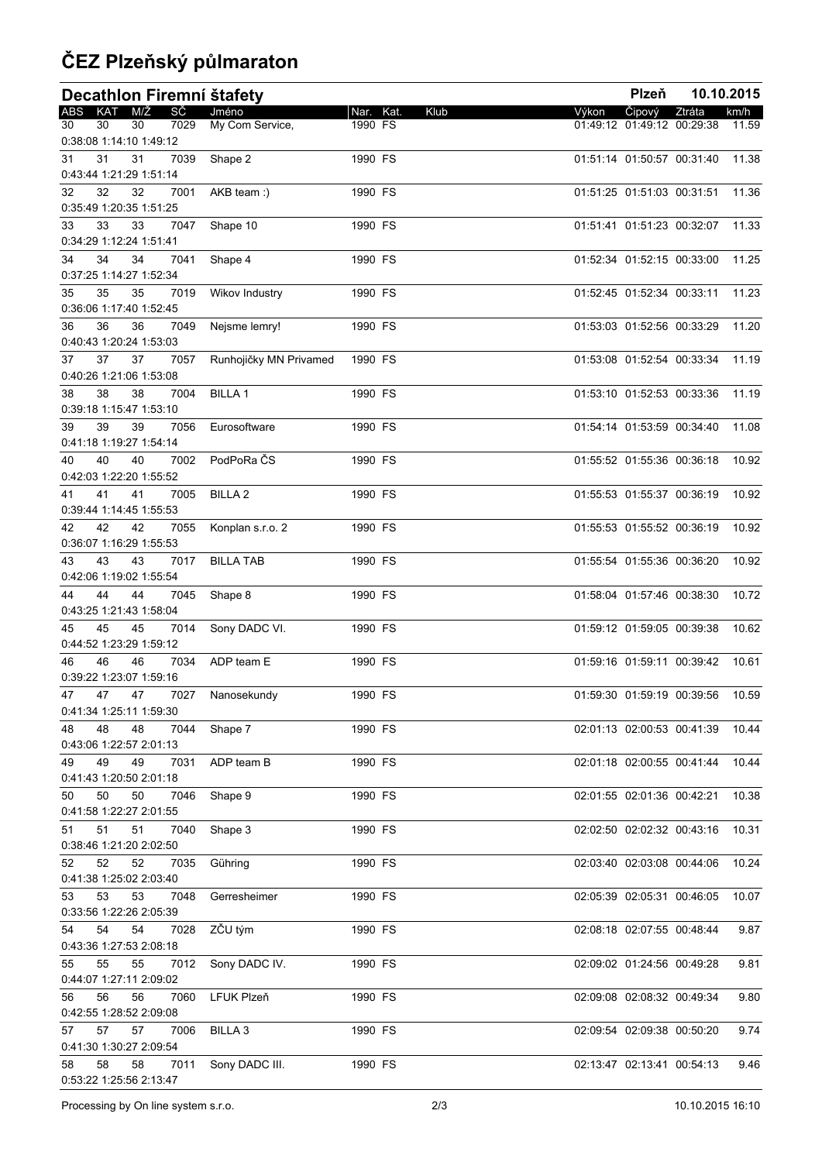## **ČEZ Plzeňský půlmaraton**

| Decathlon Firemní štafety                         |                        |           |      |       | Plzeň                      |        | 10.10.2015 |
|---------------------------------------------------|------------------------|-----------|------|-------|----------------------------|--------|------------|
| ABS KAT M/Ž<br>SČ                                 | Jméno                  | Nar. Kat. | Klub | Výkon | Čipový                     | Ztráta | km/h       |
| 7029<br>30<br>30<br>30<br>0:38:08 1:14:10 1:49:12 | My Com Service,        | 1990 FS   |      |       | 01:49:12 01:49:12 00:29:38 |        | 11.59      |
| 31<br>31<br>31<br>7039<br>0:43:44 1:21:29 1:51:14 | Shape 2                | 1990 FS   |      |       | 01:51:14 01:50:57 00:31:40 |        | 11.38      |
| 32<br>32<br>7001<br>32<br>0:35:49 1:20:35 1:51:25 | AKB team :)            | 1990 FS   |      |       | 01:51:25 01:51:03 00:31:51 |        | 11.36      |
| 33<br>33<br>33<br>7047                            | Shape 10               | 1990 FS   |      |       | 01:51:41 01:51:23 00:32:07 |        | 11.33      |
| 0:34:29 1:12:24 1:51:41                           |                        |           |      |       |                            |        |            |
| 34<br>7041<br>34<br>34<br>0:37:25 1:14:27 1:52:34 | Shape 4                | 1990 FS   |      |       | 01:52:34 01:52:15 00:33:00 |        | 11.25      |
| 35<br>35<br>35<br>7019<br>0:36:06 1:17:40 1:52:45 | Wikov Industry         | 1990 FS   |      |       | 01:52:45 01:52:34 00:33:11 |        | 11.23      |
| 36<br>36<br>7049<br>36<br>0:40:43 1:20:24 1:53:03 | Nejsme lemry!          | 1990 FS   |      |       | 01:53:03 01:52:56 00:33:29 |        | 11.20      |
| 37<br>37<br>7057<br>37<br>0:40:26 1:21:06 1:53:08 | Runhojičky MN Privamed | 1990 FS   |      |       | 01:53:08 01:52:54 00:33:34 |        | 11.19      |
| 38<br>38<br>7004<br>38<br>0:39:18 1:15:47 1:53:10 | <b>BILLA1</b>          | 1990 FS   |      |       | 01:53:10 01:52:53 00:33:36 |        | 11.19      |
| 39<br>39<br>7056<br>39<br>0:41:18 1:19:27 1:54:14 | Eurosoftware           | 1990 FS   |      |       | 01:54:14 01:53:59 00:34:40 |        | 11.08      |
| 40<br>40<br>7002<br>40                            | PodPoRa ČS             | 1990 FS   |      |       | 01:55:52 01:55:36 00:36:18 |        | 10.92      |
| 0:42:03 1:22:20 1:55:52<br>41<br>41<br>7005<br>41 | <b>BILLA 2</b>         | 1990 FS   |      |       | 01:55:53 01:55:37 00:36:19 |        | 10.92      |
| 0:39:44 1:14:45 1:55:53                           |                        |           |      |       |                            |        |            |
| 42<br>42<br>42<br>7055<br>0:36:07 1:16:29 1:55:53 | Konplan s.r.o. 2       | 1990 FS   |      |       | 01:55:53 01:55:52 00:36:19 |        | 10.92      |
| 43<br>43<br>43<br>7017<br>0:42:06 1:19:02 1:55:54 | <b>BILLA TAB</b>       | 1990 FS   |      |       | 01:55:54 01:55:36 00:36:20 |        | 10.92      |
| 44<br>44<br>7045<br>44<br>0:43:25 1:21:43 1:58:04 | Shape 8                | 1990 FS   |      |       | 01:58:04 01:57:46 00:38:30 |        | 10.72      |
| 45<br>45<br>7014<br>45<br>0:44:52 1:23:29 1:59:12 | Sony DADC VI.          | 1990 FS   |      |       | 01:59:12 01:59:05 00:39:38 |        | 10.62      |
| 46<br>7034<br>46<br>46<br>0:39:22 1:23:07 1:59:16 | ADP team E             | 1990 FS   |      |       | 01:59:16 01:59:11 00:39:42 |        | 10.61      |
| 47<br>47<br>47<br>7027                            | Nanosekundy            | 1990 FS   |      |       | 01:59:30 01:59:19 00:39:56 |        | 10.59      |
| 0:41:34 1:25:11 1:59:30<br>48<br>48<br>7044<br>48 | Shape 7                | 1990 FS   |      |       | 02:01:13 02:00:53 00:41:39 |        | 10.44      |
| 0:43:06 1:22:57 2:01:13                           |                        |           |      |       |                            |        |            |
| 49<br>49<br>49<br>7031<br>0:41:43 1:20:50 2:01:18 | ADP team B             | 1990 FS   |      |       | 02:01:18 02:00:55 00:41:44 |        | 10.44      |
| 50<br>50<br>7046<br>50<br>0:41:58 1:22:27 2:01:55 | Shape 9                | 1990 FS   |      |       | 02:01:55 02:01:36 00:42:21 |        | 10.38      |
| 51<br>51<br>7040<br>51                            | Shape 3                | 1990 FS   |      |       | 02:02:50 02:02:32 00:43:16 |        | 10.31      |
| 0:38:46 1:21:20 2:02:50<br>52<br>52<br>7035<br>52 | Gühring                | 1990 FS   |      |       | 02:03:40 02:03:08 00:44:06 |        | 10.24      |
| 0:41:38 1:25:02 2:03:40<br>53<br>53<br>7048<br>53 | Gerresheimer           | 1990 FS   |      |       | 02:05:39 02:05:31 00:46:05 |        | 10.07      |
| 0:33:56 1:22:26 2:05:39                           |                        |           |      |       |                            |        |            |
| 54<br>54<br>7028<br>54<br>0:43:36 1:27:53 2:08:18 | ZČU tým                | 1990 FS   |      |       | 02:08:18 02:07:55 00:48:44 |        | 9.87       |
| 55<br>7012<br>55<br>55<br>0:44:07 1:27:11 2:09:02 | Sony DADC IV.          | 1990 FS   |      |       | 02:09:02 01:24:56 00:49:28 |        | 9.81       |
| 56<br>7060<br>56<br>56<br>0:42:55 1:28:52 2:09:08 | LFUK Plzeň             | 1990 FS   |      |       | 02:09:08 02:08:32 00:49:34 |        | 9.80       |
| 57<br>57<br>7006<br>57                            | <b>BILLA 3</b>         | 1990 FS   |      |       | 02:09:54 02:09:38 00:50:20 |        | 9.74       |
| 0:41:30 1:30:27 2:09:54<br>58<br>58<br>7011<br>58 | Sony DADC III.         | 1990 FS   |      |       | 02:13:47 02:13:41 00:54:13 |        | 9.46       |
| 0:53:22 1:25:56 2:13:47                           |                        |           |      |       |                            |        |            |